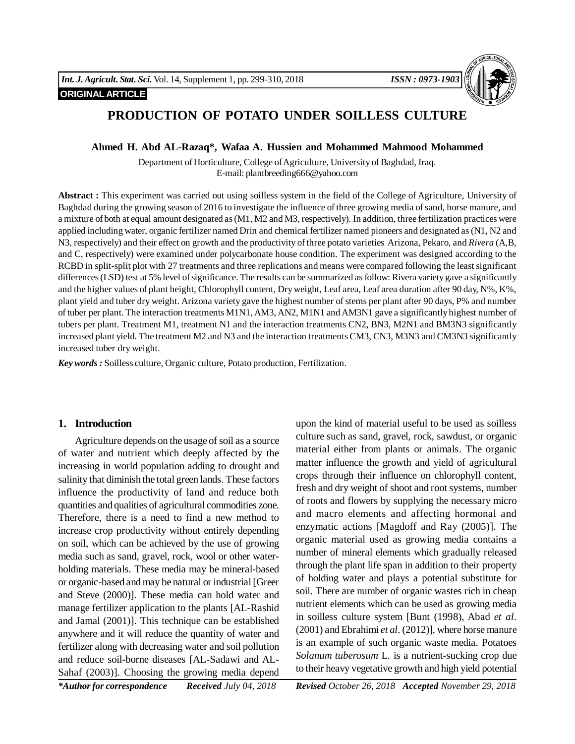## **ORIGINAL ARTICLE**



# **PRODUCTION OF POTATO UNDER SOILLESS CULTURE**

#### **Ahmed H. Abd AL-Razaq\*, Wafaa A. Hussien and Mohammed Mahmood Mohammed**

Department of Horticulture, College of Agriculture, University of Baghdad, Iraq. E-mail: plantbreeding666@yahoo.com

**Abstract :** This experiment was carried out using soilless system in the field of the College of Agriculture, University of Baghdad during the growing season of 2016 to investigate the influence of three growing media of sand, horse manure, and a mixture of both at equal amount designated as (M1, M2 and M3, respectively). In addition, three fertilization practices were applied including water, organic fertilizer named Drin and chemical fertilizer named pioneers and designated as (N1, N2 and N3, respectively) and their effect on growth and the productivity of three potato varieties Arizona, Pekaro, and *Rivera* (A,B, and C, respectively) were examined under polycarbonate house condition. The experiment was designed according to the RCBD in split-split plot with 27 treatments and three replications and means were compared following the least significant differences (LSD) test at 5% level of significance. The results can be summarized as follow: Rivera variety gave a significantly and the higher values of plant height, Chlorophyll content, Dry weight, Leaf area, Leaf area duration after 90 day, N%, K%, plant yield and tuber dry weight. Arizona variety gave the highest number of stems per plant after 90 days, P% and number of tuber per plant. The interaction treatments M1N1, AM3, AN2, M1N1 and AM3N1 gave a significantly highest number of tubers per plant. Treatment M1, treatment N1 and the interaction treatments CN2, BN3, M2N1 and BM3N3 significantly increased plant yield. The treatment M2 and N3 and the interaction treatments CM3, CN3, M3N3 and CM3N3 significantly increased tuber dry weight.

*Key words :* Soilless culture, Organic culture, Potato production, Fertilization.

## **1. Introduction**

Agriculture depends on the usage of soil as a source of water and nutrient which deeply affected by the increasing in world population adding to drought and salinity that diminish the total green lands. These factors influence the productivity of land and reduce both quantities and qualities of agricultural commodities zone. Therefore, there is a need to find a new method to increase crop productivity without entirely depending on soil, which can be achieved by the use of growing media such as sand, gravel, rock, wool or other waterholding materials. These media may be mineral-based or organic-based and may be natural or industrial [Greer and Steve (2000)]. These media can hold water and manage fertilizer application to the plants [AL-Rashid and Jamal (2001)]. This technique can be established anywhere and it will reduce the quantity of water and fertilizer along with decreasing water and soil pollution and reduce soil-borne diseases [AL-Sadawi and AL-Sahaf (2003)]. Choosing the growing media depend upon the kind of material useful to be used as soilless culture such as sand, gravel, rock, sawdust, or organic material either from plants or animals. The organic matter influence the growth and yield of agricultural crops through their influence on chlorophyll content, fresh and dry weight of shoot and root systems, number of roots and flowers by supplying the necessary micro and macro elements and affecting hormonal and enzymatic actions [Magdoff and Ray (2005)]. The organic material used as growing media contains a number of mineral elements which gradually released through the plant life span in addition to their property of holding water and plays a potential substitute for soil. There are number of organic wastes rich in cheap nutrient elements which can be used as growing media in soilless culture system [Bunt (1998), Abad *et al*. (2001) and Ebrahimi *et al*. (2012)], where horse manure is an example of such organic waste media. Potatoes *Solanum tuberosum* L*.* is a nutrient-sucking crop due to their heavy vegetative growth and high yield potential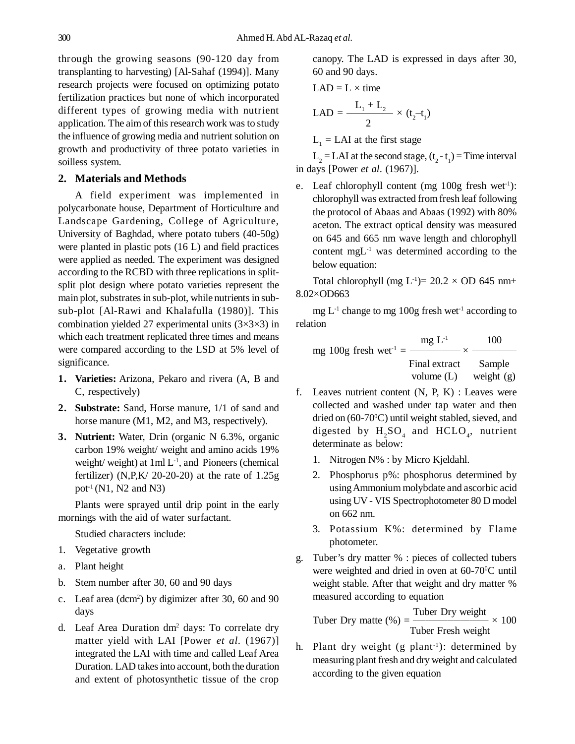through the growing seasons (90-120 day from transplanting to harvesting) [Al-Sahaf (1994)]. Many research projects were focused on optimizing potato fertilization practices but none of which incorporated different types of growing media with nutrient application. The aim of this research work was to study the influence of growing media and nutrient solution on growth and productivity of three potato varieties in soilless system.

#### **2. Materials and Methods**

A field experiment was implemented in polycarbonate house, Department of Horticulture and Landscape Gardening, College of Agriculture, University of Baghdad, where potato tubers (40-50g) were planted in plastic pots (16 L) and field practices were applied as needed. The experiment was designed according to the RCBD with three replications in splitsplit plot design where potato varieties represent the main plot, substrates in sub-plot, while nutrients in subsub-plot [Al-Rawi and Khalafulla (1980)]. This combination yielded 27 experimental units  $(3\times3\times3)$  in which each treatment replicated three times and means were compared according to the LSD at 5% level of significance.

- **1. Varieties:** Arizona, Pekaro and rivera (A, B and C, respectively)
- **2. Substrate:** Sand, Horse manure, 1/1 of sand and horse manure (M1, M2, and M3, respectively).
- **3. Nutrient:** Water, Drin (organic N 6.3%, organic carbon 19% weight/ weight and amino acids 19% weight/ weight) at  $1ml L^{-1}$ , and Pioneers (chemical fertilizer) (N,P,K $/$  20-20-20) at the rate of 1.25g pot<sup>-1</sup> (N1, N2 and N3)

Plants were sprayed until drip point in the early mornings with the aid of water surfactant.

Studied characters include:

- 1. Vegetative growth
- a. Plant height
- b. Stem number after 30, 60 and 90 days
- c. Leaf area (dcm<sup>2</sup> ) by digimizer after 30, 60 and 90 days
- d. Leaf Area Duration dm<sup>2</sup> days: To correlate dry matter yield with LAI [Power *et al.* (1967)] integrated the LAI with time and called Leaf Area Duration. LAD takes into account, both the duration and extent of photosynthetic tissue of the crop

canopy. The LAD is expressed in days after 30, 60 and 90 days.

$$
LAD = L \times time
$$

$$
LAD = \frac{L_1 + L_2}{2} \times (t_2 - t_1)
$$

 $L_1$  = LAI at the first stage

 $L_2 = LAI$  at the second stage,  $(t_2 - t_1) = Time$  interval in days [Power *et al*. (1967)].

e. Leaf chlorophyll content (mg 100g fresh wet<sup>-1</sup>): chlorophyll was extracted from fresh leaf following the protocol of Abaas and Abaas (1992) with 80% aceton. The extract optical density was measured on 645 and 665 nm wave length and chlorophyll content mgL-1 was determined according to the below equation:

Total chlorophyll (mg  $L^{-1}$ )= 20.2 × OD 645 nm+ 8.02×OD663

mg  $L^{-1}$  change to mg 100g fresh wet<sup>-1</sup> according to relation

mg 100g fresh wet<sup>-1</sup> = 
$$
\frac{mg L^{-1}}{\text{Final extract}} \times \frac{100}{\text{Sample}}
$$
  
volume (L) weight (g)

- f. Leaves nutrient content  $(N, P, K)$ : Leaves were collected and washed under tap water and then dried on  $(60-70\degree C)$  until weight stabled, sieved, and digested by  $H_2SO_4$  and  $HCLO_4$ , nutrient determinate as below:
	- 1. Nitrogen N% : by Micro Kjeldahl.
	- 2. Phosphorus p%: phosphorus determined by using Ammonium molybdate and ascorbic acid using UV - VIS Spectrophotometer 80 D model on 662 nm.
	- 3. Potassium K%: determined by Flame photometer.
- g. Tuber's dry matter % : pieces of collected tubers were weighted and dried in oven at 60-70<sup>o</sup>C until weight stable. After that weight and dry matter % measured according to equation

Tuber Dry weight Tuber Dry matte (%) = \_\_\_\_\_\_\_\_\_\_\_\_\_\_\_\_\_\_\_\_\_\_\_\_ × 100 Tuber Fresh weight

h. Plant dry weight  $(g$  plant<sup>-1</sup>): determined by measuring plant fresh and dry weight and calculated according to the given equation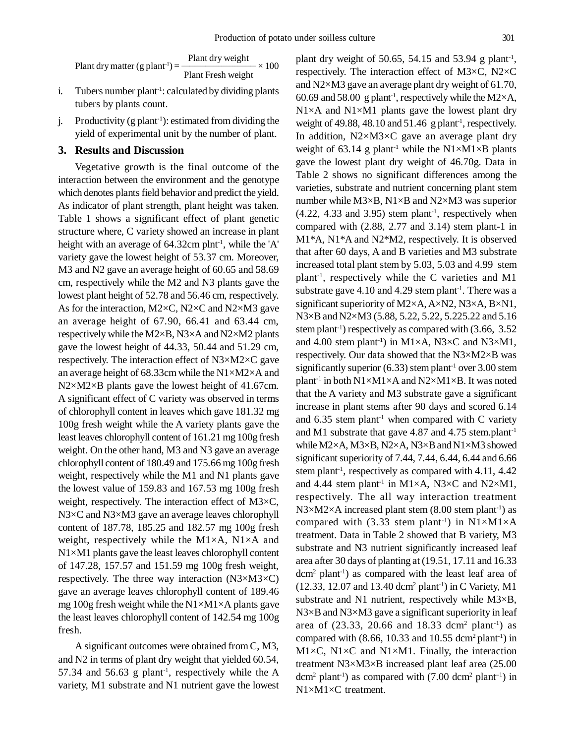Plant dry weight Plant dry matter (g plant<sup>-1</sup>) =  $\frac{1}{2}$   $\frac{1}{2}$   $\frac{1}{2}$   $\times 100$ Plant Fresh weight

- i. Tubers number plant<sup>-1</sup>: calculated by dividing plants tubers by plants count.
- j. Productivity  $(g \text{ plant}^{-1})$ : estimated from dividing the yield of experimental unit by the number of plant.

### **3. Results and Discussion**

Vegetative growth is the final outcome of the interaction between the environment and the genotype which denotes plants field behavior and predict the yield. As indicator of plant strength, plant height was taken. Table 1 shows a significant effect of plant genetic structure where, C variety showed an increase in plant height with an average of 64.32cm plnt<sup>-1</sup>, while the 'A' variety gave the lowest height of 53.37 cm. Moreover, M3 and N2 gave an average height of 60.65 and 58.69 cm, respectively while the M2 and N3 plants gave the lowest plant height of 52.78 and 56.46 cm, respectively. As for the interaction, M2×C, N2×C and N2×M3 gave an average height of 67.90, 66.41 and 63.44 cm, respectively while the M2×B, N3×A and N2×M2 plants gave the lowest height of 44.33, 50.44 and 51.29 cm, respectively. The interaction effect of N3×M2×C gave an average height of 68.33cm while the N1×M2×A and N2×M2×B plants gave the lowest height of 41.67cm. A significant effect of C variety was observed in terms of chlorophyll content in leaves which gave 181.32 mg 100g fresh weight while the A variety plants gave the least leaves chlorophyll content of 161.21 mg 100g fresh weight. On the other hand, M3 and N3 gave an average chlorophyll content of 180.49 and 175.66 mg 100g fresh weight, respectively while the M1 and N1 plants gave the lowest value of 159.83 and 167.53 mg 100g fresh weight, respectively. The interaction effect of M3×C, N3×C and N3×M3 gave an average leaves chlorophyll content of 187.78, 185.25 and 182.57 mg 100g fresh weight, respectively while the M1×A, N1×A and N1×M1 plants gave the least leaves chlorophyll content of 147.28, 157.57 and 151.59 mg 100g fresh weight, respectively. The three way interaction (N3×M3×C) gave an average leaves chlorophyll content of 189.46 mg 100g fresh weight while the N1×M1×A plants gave the least leaves chlorophyll content of 142.54 mg 100g fresh.

A significant outcomes were obtained from C, M3, and N2 in terms of plant dry weight that yielded 60.54, 57.34 and 56.63 g plant<sup>-1</sup>, respectively while the A variety, M1 substrate and N1 nutrient gave the lowest

plant dry weight of 50.65, 54.15 and 53.94 g plant<sup>-1</sup>, respectively. The interaction effect of M3×C, N2×C and N2×M3 gave an average plant dry weight of 61.70, 60.69 and 58.00 g plant<sup>-1</sup>, respectively while the M2 $\times$ A,  $N1\times A$  and  $N1\times M1$  plants gave the lowest plant dry weight of 49.88, 48.10 and  $51.46 \text{ g plant}$ <sup>1</sup>, respectively. In addition,  $N2 \times M3 \times C$  gave an average plant dry weight of 63.14 g plant<sup>-1</sup> while the  $N1\times M1\times B$  plants gave the lowest plant dry weight of 46.70g. Data in Table 2 shows no significant differences among the varieties, substrate and nutrient concerning plant stem number while M3×B, N1×B and N2×M3 was superior  $(4.22, 4.33, 3.95)$  stem plant<sup>-1</sup>, respectively when compared with (2.88, 2.77 and 3.14) stem plant-1 in M1\*A, N1\*A and N2\*M2, respectively. It is observed that after 60 days, A and B varieties and M3 substrate increased total plant stem by 5.03, 5.03 and 4.99 stem plant-1, respectively while the C varieties and M1 substrate gave  $4.10$  and  $4.29$  stem plant<sup>-1</sup>. There was a significant superiority of M2×A, A×N2, N3×A, B×N1, N3×B and N2×M3 (5.88, 5.22, 5.22, 5.225.22 and 5.16 stem plant<sup>-1</sup>) respectively as compared with  $(3.66, 3.52)$ and 4.00 stem plant<sup>-1</sup>) in M1×A, N3×C and N3×M1, respectively. Our data showed that the N3×M2×B was significantly superior  $(6.33)$  stem plant<sup>-1</sup> over 3.00 stem plant-1 in both N1×M1×A and N2×M1×B. It was noted that the A variety and M3 substrate gave a significant increase in plant stems after 90 days and scored 6.14 and  $6.35$  stem plant<sup>-1</sup> when compared with C variety and M1 substrate that gave 4.87 and 4.75 stem.plant-1 while M2×A, M3×B, N2×A, N3×B and N1×M3 showed significant superiority of 7.44, 7.44, 6.44, 6.44 and 6.66 stem plant<sup>-1</sup>, respectively as compared with 4.11, 4.42 and 4.44 stem plant<sup>-1</sup> in M1×A, N3×C and N2×M1, respectively. The all way interaction treatment  $N3\times M2\times A$  increased plant stem (8.00 stem plant<sup>-1</sup>) as compared with (3.33 stem plant<sup>-1</sup>) in  $N1\times M1\times A$ treatment. Data in Table 2 showed that B variety, M3 substrate and N3 nutrient significantly increased leaf area after 30 days of planting at (19.51, 17.11 and 16.33 dcm<sup>2</sup> plant-1) as compared with the least leaf area of  $(12.33, 12.07, and 13.40)$  dcm<sup>2</sup> plant<sup>-1</sup>) in C Variety, M1 substrate and N1 nutrient, respectively while M3×B,  $N3\times B$  and  $N3\times M3$  gave a significant superiority in leaf area of  $(23.33, 20.66 \text{ and } 18.33 \text{ dom}^2 \text{ plant}^1)$  as compared with  $(8.66, 10.33 \text{ and } 10.55 \text{ dom}^2 \text{ plant}^1)$  in M1×C, N1×C and N1×M1. Finally, the interaction treatment N3×M3×B increased plant leaf area (25.00 dcm<sup>2</sup> plant<sup>-1</sup>) as compared with  $(7.00 \text{ dcm}^2 \text{ plant}^{-1})$  in N1×M1×C treatment.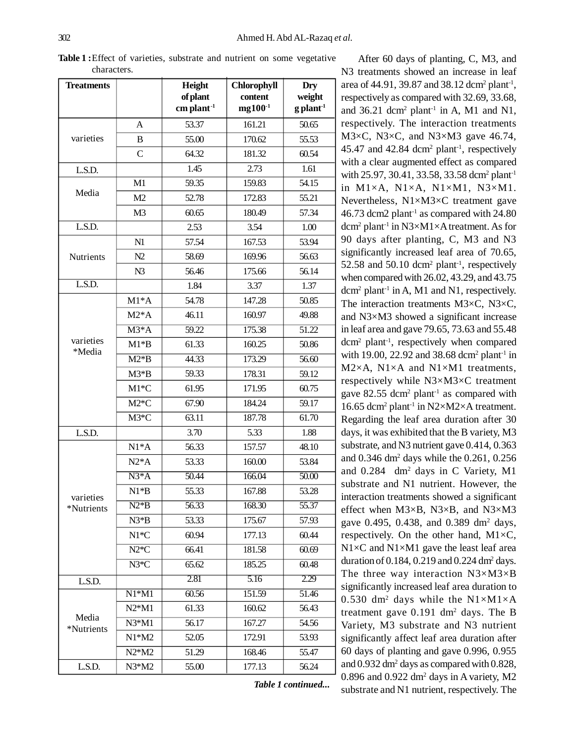*Table 1 continued...*

| <b>Treatments</b>       |                | Height<br>of plant<br>$cm$ plant <sup>-1</sup> | <b>Chlorophyll</b><br>content<br>$mg100^{-1}$ | Dry<br>weight<br>$g$ plant <sup>-1</sup> |  |
|-------------------------|----------------|------------------------------------------------|-----------------------------------------------|------------------------------------------|--|
|                         | A              | 53.37                                          | 161.21                                        | 50.65                                    |  |
| varieties               | B              | 55.00                                          | 170.62                                        | 55.53                                    |  |
|                         | $\mathsf{C}$   | 64.32                                          | 181.32                                        | 60.54                                    |  |
| L.S.D.                  |                | 1.45                                           | 2.73                                          | 1.61                                     |  |
|                         | M1             | 59.35                                          | 159.83                                        | 54.15                                    |  |
| Media                   | M2             | 52.78                                          | 172.83                                        | 55.21                                    |  |
|                         | M <sub>3</sub> | 60.65                                          | 180.49                                        | 57.34                                    |  |
| L.S.D.                  |                | 2.53                                           | 3.54                                          | 1.00                                     |  |
|                         | N1             | 57.54                                          | 167.53                                        | 53.94                                    |  |
| Nutrients               | N2             | 58.69                                          | 169.96                                        | 56.63                                    |  |
|                         | N <sub>3</sub> | 56.46                                          | 175.66                                        | 56.14                                    |  |
| L.S.D.                  |                | 1.84                                           | 3.37                                          | 1.37                                     |  |
|                         | $M1*A$         | 54.78                                          | 147.28                                        | 50.85                                    |  |
|                         | $M2*A$         | 46.11                                          | 160.97                                        | 49.88                                    |  |
|                         | $M3*A$         | 59.22                                          | 175.38                                        | 51.22                                    |  |
| varieties               | $M1*B$         | 61.33                                          | 160.25                                        | 50.86                                    |  |
| *Media                  | $M2*B$         | 44.33                                          | 173.29                                        | 56.60                                    |  |
|                         | $M3*B$         | 59.33                                          | 178.31                                        | 59.12                                    |  |
|                         | $M1*C$         | 61.95                                          | 171.95                                        | 60.75                                    |  |
|                         | $M2*C$         | 67.90                                          | 184.24                                        | 59.17                                    |  |
|                         | $M3*C$         | 63.11                                          | 187.78                                        | 61.70                                    |  |
| L.S.D.                  |                | 3.70                                           | 5.33                                          | 1.88                                     |  |
|                         | $N1*A$         | 56.33                                          | 157.57                                        | 48.10                                    |  |
|                         | $N2*A$         | 53.33                                          | 160.00                                        | 53.84                                    |  |
|                         | $N3*A$         | 50.44                                          | 166.04                                        | 50.00                                    |  |
|                         | $N1*B$         | 55.33                                          | 167.88                                        | 53.28                                    |  |
| varieties<br>*Nutrients | $N2*B$         | 56.33                                          | 168.30                                        | 55.37                                    |  |
|                         | $N3*B$         | 53.33                                          | 175.67                                        | 57.93                                    |  |
|                         | $N1*C$         | 60.94                                          | 177.13                                        | 60.44                                    |  |
|                         | $N2*C$         | 66.41                                          | 181.58                                        | 60.69                                    |  |
|                         | $N3*C$         | 65.62                                          | 185.25                                        | 60.48                                    |  |
| L.S.D.                  |                | 2.81                                           | 5.16                                          | 2.29                                     |  |
|                         | $N1*M1$        | 60.56                                          | 151.59                                        | 51.46                                    |  |
|                         | $N2*M1$        | 61.33                                          | 160.62                                        | 56.43                                    |  |
| Media<br>*Nutrients     | $N3*M1$        | 56.17                                          | 167.27                                        | 54.56                                    |  |
|                         | $N1*M2$        | 52.05                                          | 172.91                                        | 53.93                                    |  |
|                         | $N2*M2$        | 51.29                                          | 168.46                                        | 55.47                                    |  |
| L.S.D.                  | $N3*M2$        | 55.00                                          | 177.13                                        | 56.24                                    |  |

**Table 1 :**Effect of varieties, substrate and nutrient on some vegetative characters.

N3 treatments showed an increase in leaf area of 44.91, 39.87 and 38.12 dcm<sup>2</sup> plant<sup>-1</sup>, respectively as compared with 32.69, 33.68, and  $36.21$  dcm<sup>2</sup> plant<sup>-1</sup> in A, M1 and N1, respectively. The interaction treatments M3×C, N3×C, and N3×M3 gave 46.74, 45.47 and 42.84 dcm<sup>2</sup> plant-1, respectively with a clear augmented effect as compared with 25.97, 30.41, 33.58, 33.58 dcm<sup>2</sup> plant<sup>-1</sup> in M1×A, N1×A, N1×M1, N3×M1. Nevertheless, N1×M3×C treatment gave 46.73 dcm2 plant-1 as compared with 24.80 dcm<sup>2</sup> plant-1 in N3×M1×A treatment. As for 90 days after planting, C, M3 and N3 significantly increased leaf area of 70.65, 52.58 and 50.10 dcm<sup>2</sup> plant<sup>-1</sup>, respectively when compared with 26.02, 43.29, and 43.75 dcm<sup>2</sup> plant<sup>-1</sup> in A, M1 and N1, respectively. The interaction treatments M3×C, N3×C, and N3×M3 showed a significant increase in leaf area and gave 79.65, 73.63 and 55.48 dcm<sup>2</sup> plant-1, respectively when compared with 19.00, 22.92 and 38.68 dcm<sup>2</sup> plant<sup>-1</sup> in M2×A, N1×A and N1×M1 treatments, respectively while N3×M3×C treatment gave  $82.55$  dcm<sup>2</sup> plant<sup>-1</sup> as compared with 16.65 dcm<sup>2</sup> plant<sup>-1</sup> in N2×M2×A treatment. Regarding the leaf area duration after 30 days, it was exhibited that the B variety, M3 substrate, and N3 nutrient gave 0.414, 0.363 and 0.346 dm<sup>2</sup> days while the 0.261, 0.256 and 0.284 dm<sup>2</sup> days in C Variety, M1 substrate and N1 nutrient. However, the interaction treatments showed a significant effect when M3×B, N3×B, and N3×M3 gave 0.495, 0.438, and 0.389 dm<sup>2</sup> days, respectively. On the other hand,  $M1 \times C$ ,  $N1\times C$  and  $N1\times M1$  gave the least leaf area duration of  $0.184$ ,  $0.219$  and  $0.224$  dm<sup>2</sup> days. The three way interaction N3×M3×B significantly increased leaf area duration to 0.530 dm<sup>2</sup> days while the N1 $\times$ M1 $\times$ A treatment gave 0.191 dm<sup>2</sup> days. The B Variety, M3 substrate and N3 nutrient significantly affect leaf area duration after 60 days of planting and gave 0.996, 0.955 and 0.932 dm<sup>2</sup> days as compared with 0.828,  $0.896$  and  $0.922$  dm<sup>2</sup> days in A variety, M2 substrate and N1 nutrient, respectively. The

After 60 days of planting, C, M3, and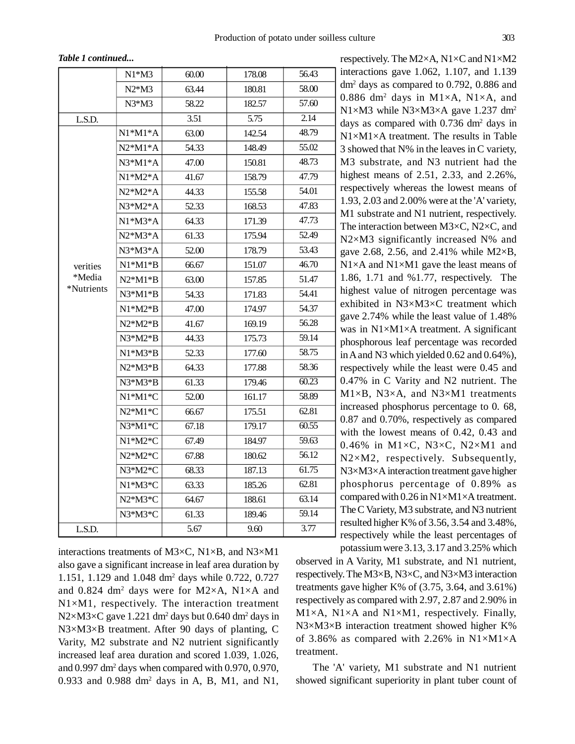*Table 1 continued...*

|            | $N1*M3$   | 60.00 | 178.08 | 56.43              |
|------------|-----------|-------|--------|--------------------|
|            | $N2*M3$   | 63.44 | 180.81 | 58.00              |
|            | $N3*M3$   | 58.22 | 182.57 | 57.60              |
| L.S.D.     |           | 3.51  | 5.75   | 2.14               |
|            | $N1*M1*A$ | 63.00 | 142.54 | 48.79              |
|            | $N2*M1*A$ | 54.33 | 148.49 | 55.02              |
|            | $N3*M1*A$ | 47.00 | 150.81 | 48.73              |
|            | $N1*M2*A$ | 41.67 | 158.79 | 47.79              |
|            | $N2*M2*A$ | 44.33 | 155.58 | 54.01              |
|            | $N3*M2*A$ | 52.33 | 168.53 | 47.83              |
|            | $N1*M3*A$ | 64.33 | 171.39 | 47.73              |
|            | $N2*M3*A$ | 61.33 | 175.94 | 52.49              |
|            | N3*M3*A   | 52.00 | 178.79 | 53.43              |
| verities   | $N1*M1*B$ | 66.67 | 151.07 | 46.70              |
| *Media     | $N2*M1*B$ | 63.00 | 157.85 | 51.47              |
| *Nutrients | $N3*M1*B$ | 54.33 | 171.83 | 54.41              |
|            | $N1*M2*B$ | 47.00 | 174.97 | 54.37              |
|            | $N2*M2*B$ | 41.67 | 169.19 | 56.28              |
|            | $N3*M2*B$ | 44.33 | 175.73 | 59.14              |
|            | $N1*M3*B$ | 52.33 | 177.60 | 58.75              |
|            | $N2*M3*B$ | 64.33 | 177.88 | 58.36              |
|            | N3*M3*B   | 61.33 | 179.46 | 60.23              |
|            | $N1*M1*C$ | 52.00 | 161.17 | 58.89              |
|            | $N2*M1*C$ | 66.67 | 175.51 | 62.81              |
|            | N3*M1*C   | 67.18 | 179.17 | 60.55              |
|            | $N1*M2*C$ | 67.49 | 184.97 | $\overline{59.63}$ |
|            | N2*M2*C   | 67.88 | 180.62 | 56.12              |
|            | $N3*M2*C$ | 68.33 | 187.13 | 61.75              |
|            | N1*M3*C   | 63.33 | 185.26 | 62.81              |
|            | N2*M3*C   | 64.67 | 188.61 | 63.14              |
|            | N3*M3*C   | 61.33 | 189.46 | 59.14              |
| L.S.D.     |           | 5.67  | 9.60   | 3.77               |

interactions treatments of M3×C, N1×B, and N3×M1 also gave a significant increase in leaf area duration by 1.151, 1.129 and 1.048 dm<sup>2</sup> days while 0.722, 0.727 and  $0.824$  dm<sup>2</sup> days were for M2×A, N1×A and N1×M1, respectively. The interaction treatment  $N2\times M3\times C$  gave 1.221 dm<sup>2</sup> days but 0.640 dm<sup>2</sup> days in N3×M3×B treatment. After 90 days of planting, C Varity, M2 substrate and N2 nutrient significantly increased leaf area duration and scored 1.039, 1.026, and 0.997 dm<sup>2</sup> days when compared with 0.970, 0.970, 0.933 and 0.988  $dm^2$  days in A, B, M1, and N1,

respectively. The M2×A, N1×C and N1×M2 interactions gave 1.062, 1.107, and 1.139 dm<sup>2</sup> days as compared to 0.792, 0.886 and 0.886 dm<sup>2</sup> days in M1×A, N1×A, and N1×M3 while N3×M3×A gave 1.237 dm<sup>2</sup> days as compared with 0.736 dm<sup>2</sup> days in N1×M1×A treatment. The results in Table 3 showed that N% in the leaves in C variety, M3 substrate, and N3 nutrient had the highest means of 2.51, 2.33, and 2.26%, respectively whereas the lowest means of 1.93, 2.03 and 2.00% were at the 'A' variety, M1 substrate and N1 nutrient, respectively. The interaction between M3×C, N2×C, and N2×M3 significantly increased N% and gave 2.68, 2.56, and 2.41% while  $M2 \times B$ ,  $N1\times A$  and  $N1\times M1$  gave the least means of 1.86, 1.71 and %1.77, respectively. The highest value of nitrogen percentage was exhibited in N3×M3×C treatment which gave 2.74% while the least value of 1.48% was in  $N1 \times M1 \times A$  treatment. A significant phosphorous leaf percentage was recorded in A and N3 which yielded 0.62 and 0.64%), respectively while the least were 0.45 and 0.47% in C Varity and N2 nutrient. The M1×B, N3×A, and N3×M1 treatments increased phosphorus percentage to 0. 68, 0.87 and 0.70%, respectively as compared with the lowest means of 0.42, 0.43 and 0.46% in M1 $\times$ C, N3 $\times$ C, N2 $\times$ M1 and N2×M2, respectively. Subsequently, N3×M3×A interaction treatment gave higher phosphorus percentage of 0.89% as compared with  $0.26$  in N1×M1×A treatment. The C Variety, M3 substrate, and N3 nutrient resulted higher K% of 3.56, 3.54 and 3.48%, respectively while the least percentages of potassium were 3.13, 3.17 and 3.25% which

observed in A Varity, M1 substrate, and N1 nutrient, respectively. The M3×B, N3×C, and N3×M3 interaction treatments gave higher K% of  $(3.75, 3.64,$  and  $3.61\%)$ respectively as compared with 2.97, 2.87 and 2.90% in  $M1\times A$ , N1 $\times A$  and N1 $\times M1$ , respectively. Finally, N3×M3×B interaction treatment showed higher K% of 3.86% as compared with 2.26% in  $N1\times M1\times A$ treatment.

The 'A' variety, M1 substrate and N1 nutrient showed significant superiority in plant tuber count of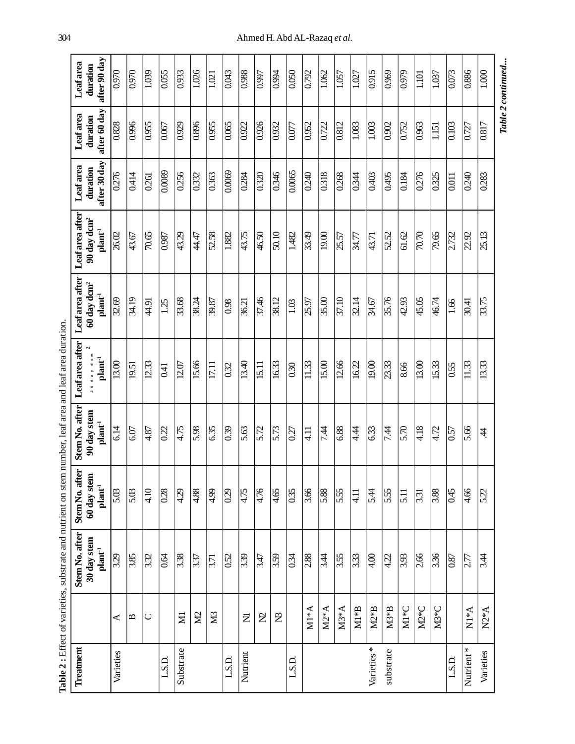|            |                          | <b>Table 2</b> : Effect of varieties, substrate and nutrient on stem number, leaf area and leaf area duration. |                                   |                                   |                                          |                                                          |                                               |                          |                          |                          |
|------------|--------------------------|----------------------------------------------------------------------------------------------------------------|-----------------------------------|-----------------------------------|------------------------------------------|----------------------------------------------------------|-----------------------------------------------|--------------------------|--------------------------|--------------------------|
| Treatment  |                          | Stem No. after                                                                                                 | <b>Er</b><br>Stem No. aft         | Stem No. after                    | Leaf area after                          | Leaf area after                                          | Leaf area after                               | Leaf area                | Leaf area                | <b>Leaf</b> area         |
|            |                          | 30 day stem<br>$\mathbf{plant}^{\text{-1}}$                                                                    | 60 day stem<br>$\mathbf{plant}^1$ | 90 day stem<br>$\mathbf{plant}^1$ | day dom<br>$\mathbf{plant}^{\mathbf{1}}$ | $60\,\mathrm{day}\,\mathrm{dcm}^2$<br>$\mathbf{plant}^1$ | 90 day dcm <sup>2</sup><br>$\mathbf{plant}^1$ | after 30 day<br>duration | after 60 day<br>duration | after 90 day<br>duration |
| Varieties  | ⋖                        | 3.29                                                                                                           | 5.03                              | 6.14                              | 13.00                                    | 32.69                                                    | 26.02                                         | 0.276                    | 0.828                    | 0.970                    |
|            | $\mathbf{\Omega}$        | 3.85                                                                                                           | 5.03                              | 6.07                              | 19.51                                    | 34.19                                                    | 43.67                                         | 0.414                    | 0.996                    | 0.970                    |
|            | $\cup$                   | $\overline{332}$                                                                                               | 4.10                              | 4.87                              | 12.33                                    | 44.91                                                    | 70.65                                         | 0.261                    | 0.955                    | 1.039                    |
| L.S.D.     |                          | 0.64                                                                                                           | 0.28                              | $\overline{022}$                  | 0.41                                     | 1.25                                                     | $\overline{0.987}$                            | 0.0089                   | 0.067                    | 0.055                    |
| Substrate  | Ξ                        | 3.38                                                                                                           | 4.29                              | 4.75                              | 12.07                                    | 33.68                                                    | 43.29                                         | 0.256                    | 0.929                    | 0.933                    |
|            | $\Sigma$                 | 3.37                                                                                                           | 4.88                              | 5.98                              | 15.66                                    | 38.24                                                    | 44.47                                         | 0.332                    | 0.896                    | 1.026                    |
|            | X <sub>3</sub>           | 3.71                                                                                                           | 4.99                              | 6.35                              | 17.11                                    | 39.87                                                    | 52.58                                         | 0.363                    | 0.955                    | 1.021                    |
| L.S.D.     |                          | $\overline{0.52}$                                                                                              | $\overline{0.29}$                 | 0.39                              | 0.32                                     | 0.98                                                     | 1.882                                         | 0.0069                   | 0.065                    | $\frac{5}{100}$          |
| Nutrient   | Σ                        | 3.39                                                                                                           | 4.75                              | 5.63                              | 13.40                                    | 36.21                                                    | 43.75                                         | 0.284                    | 0.922                    | 0.988                    |
|            | <b>Z</b>                 | 3.47                                                                                                           | 4.76                              | 5.72                              | 15.11                                    | 37.46                                                    | 46.50                                         | 0.320                    | 0.926                    | 0.997                    |
|            | $\mathfrak{B}$           | 3.59                                                                                                           | 4.65                              | 5.73                              | 16.33                                    | 38.12                                                    | 50.10                                         | 0.346                    | 0.932                    | 0.994                    |
| L.S.D.     |                          | 0.34                                                                                                           | 0.35                              | 0.27                              | 0.30                                     | 1.03                                                     | 1.482                                         | 0.0065                   | 0.077                    | 0.050                    |
|            | $M1*A$                   | 2.88                                                                                                           | 3.66                              | $\frac{11}{4}$                    | 11.33                                    | 25.97                                                    | 33.49                                         | 0.240                    | 0.952                    | 0.792                    |
|            | $M2*A$                   | 3.44                                                                                                           | 5.88                              | 74                                | 15.00                                    | 35.00                                                    | 19.00                                         | 0.318                    | 0.722                    | 1.062                    |
|            | $M3*A$                   | 3.55                                                                                                           | 5.55                              | 6.88                              | 12.66                                    | 37.10                                                    | 25.57                                         | 0.268                    | 0.812                    | 1.057                    |
|            | $\mathbf{M}1*\mathbf{B}$ | 3.33                                                                                                           | $\frac{1}{4}$                     | 44                                | 16.22                                    | 32.14                                                    | 34.77                                         | 0.344                    | 1.083                    | 1.027                    |
| Varieties* | $M2*B$                   | 4.00                                                                                                           | 5.44                              | 6.33                              | 19.00                                    | 34.67                                                    | 43.71                                         | 0.403                    | 1.003                    | 0.915                    |
| substrate  | $M3*B$                   | 4.22                                                                                                           | 5.55                              | 7.44                              | 23.33                                    | 35.76                                                    | 52.52                                         | 0.495                    | 0.902                    | 0.969                    |
|            | $\mathbf{M}1*\mathbf{C}$ | 3.93                                                                                                           | 5.11                              | 5.70                              | 8.66                                     | 42.93                                                    | 61.62                                         | 0.184                    | 0.752                    | 0.979                    |
|            | $M2*C$                   | 2.66                                                                                                           | 3.31                              | 4.18                              | 13.00                                    | 45.05                                                    | $70.70$                                       | 0.276                    | 0.963                    | 1101                     |
|            | M3 <sup>*</sup> C        | $\frac{3.36}{ }$                                                                                               | $\frac{8}{3}$                     | $\sqrt{4.72}$                     | 15.33                                    | 46.74                                                    | 79.65                                         | $\overline{0.325}$       | 1.151                    | $\overline{1.037}$       |
| L.S.D.     |                          | 0.87                                                                                                           | 0.45                              | $\overline{0.57}$                 | 0.55                                     | 1.66                                                     | 2.732                                         | 0.011                    | 0.103                    | 0.073                    |
| Nutrient*  | $N^*M$                   | $\overline{2.77}$                                                                                              | 4.66                              | 5.66                              | 11.33                                    | 30.41                                                    | 22.92                                         | 0.240                    | 0.727                    | 0.886                    |
| Varieties  | $N2*A$                   | 3.44                                                                                                           | 5.22                              | 4                                 | 13.33                                    | 33.75                                                    | 25.13                                         | 0.283                    | 0.817                    | 1.000                    |
|            |                          |                                                                                                                |                                   |                                   |                                          |                                                          |                                               |                          |                          | Table 2 continued        |

304 Ahmed H. Abd AL-Razaq *et al.*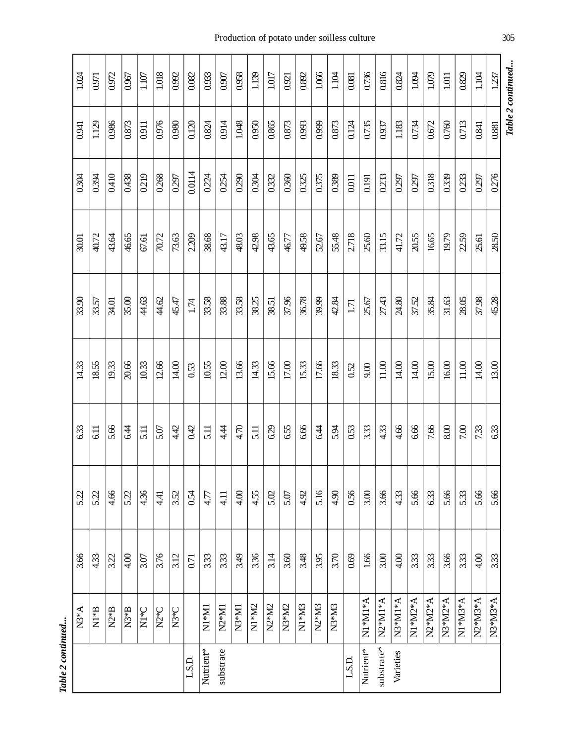Table 2 continued... *Table 2 continued...*

| Table 2 continued |       |        |                    |       |         |         |      |          |                                |            |
|-------------------|-------|--------|--------------------|-------|---------|---------|------|----------|--------------------------------|------------|
| 1237              | 0.881 | 0.276  | 28.50              | 45.28 | 13.00   | 6.33    | 5.66 | 3.33     | N3*M3*A                        |            |
| 1.104             | 0.841 | 0.297  | 25.61              | 37.98 | 14.00   | 7.33    | 5.66 | 4.00     | N2*M3*A                        |            |
| 0.829             | 0.713 | 0.233  | 2.59               | 28.05 | 11.00   | 7.00    | 5.33 | 3.33     | $N1*M3*A$                      |            |
| $1.011$           | 0.760 | 0.339  | 19.79              | 31.63 | 16.00   | 8.00    | 5.66 | 3.66     | N3*M2*A                        |            |
| 1.079             | 0.672 | 0.318  | 16.65              | 35.84 | 15.00   | 7.66    | 6.33 | 3.33     | N2*M2*A                        |            |
| 1.094             | 0.734 | 0.297  | 20.55              | 37.52 | $14.00$ | 6.66    | 5.66 | 3.33     | N1*M2*A                        |            |
| 0.824             | 1.183 | 0.297  | 41.72              | 24.80 | 14.00   | 4.66    | 4.33 | 4.00     | N3*M1*A                        | Varieties  |
| 0.816             | 0.937 | 0.233  | 33.15              | 27.43 | $11.00$ | 4.33    | 3.66 | 3.00     | $N2*M1*A$                      | substrate* |
| 0.736             | 0.735 | 0.191  | 25.60              | 25.67 | 9.00    | 3.33    | 3.00 | $1.66\,$ | $N^*MM^*A$                     | Nutrient*  |
| 0.081             | 0.124 | 0.011  | 2.718              | 1.71  | 0.52    | 0.53    | 0.56 | 0.69     |                                | L.S.D.     |
| 1.104             | 0.873 | 0.389  | 55.48              | 42.84 | 18.33   | 5.34    | 4.90 | 3.70     | N <sub>3</sub> *M <sub>3</sub> |            |
| 1.066             | 0.999 | 0.375  | 52.67              | 39.99 | 17.66   | 6.4     | 5.16 | 3.95     | $N2*M3$                        |            |
| 0.892             | 0.993 | 0.325  | 49.58              | 36.78 | 15.33   | 6.66    | 4.92 | 3.48     | $N1*M3$                        |            |
| 0.921             | 0.873 | 0.360  | 46.77              | 37.96 | $17.00$ | 6.55    | 5.07 | 3.60     | $N3*MD$                        |            |
| 1.017             | 0.865 | 0.332  | 43.65              | 38.51 | 15.66   | 6.29    | 5.02 | 3.14     | N <sub>2</sub> *M <sub>2</sub> |            |
| 1.139             | 0.950 | 0.304  | 42.98              | 38.25 | 14.33   | 5.11    | 4.55 | 3.36     | N <sub>1</sub> *M <sub>2</sub> |            |
| 0.958             | 1.048 | 0.290  | 48.03              | 33.58 | 13.66   | 4.70    | 4.00 | 3.49     | $N3*M1$                        |            |
| 0.907             | 0.914 | 0.254  | 43.17              | 33.88 | 12.00   | 4.4     | 4.11 | 3.33     | N <sub>2</sub> *M <sub>1</sub> | substrate  |
| 0.933             | 0.824 | 0.224  | 38.68              | 33.58 | 10.55   | 5.11    | 4.77 | 3.33     | $N1*$ M1                       | Nutrient*  |
| 0.082             | 0.120 | 0.0114 | 2.209              | 1.74  | 0.53    | 0.42    | 0.54 | 0.71     |                                | L.S.D.     |
| 0.992             | 0.980 | 0.297  | 73.63              | 45.47 | 14.00   | 4.42    | 3.52 | 3.12     | $N3*C$                         |            |
| 1.018             | 0.976 | 0.268  | $\overline{10.72}$ | 44.62 | 12.66   | 5.07    | 4.41 | 3.76     | N <sub>2</sub> *C              |            |
| $1.107$           | 0.911 | 0.219  | 67.61              | 44.63 | 10.33   | 5.11    | 4.36 | 3.07     | $\frac{1}{2}$                  |            |
| 0.967             | 0.873 | 0.438  | 46.65              | 35.00 | 20.66   | е.<br>4 | 522  | 4.00     | $N3*B$                         |            |
| 0.972             | 0.986 | 0.410  | 43.64              | 34.01 | 19.33   | 5.66    | 4.66 | 3.22     | $N2*B$                         |            |
| 0.971             | 1.129 | 0.394  | 40.72              | 33.57 | 18.55   | 6.11    | 5.22 | 4.33     | β*R<br>Σ                       |            |
| 1.024             | 0.941 | 0.304  | 30.01              | 33.90 | 14.33   | 6.33    | 5.22 | 3.66     | $N3*A$                         |            |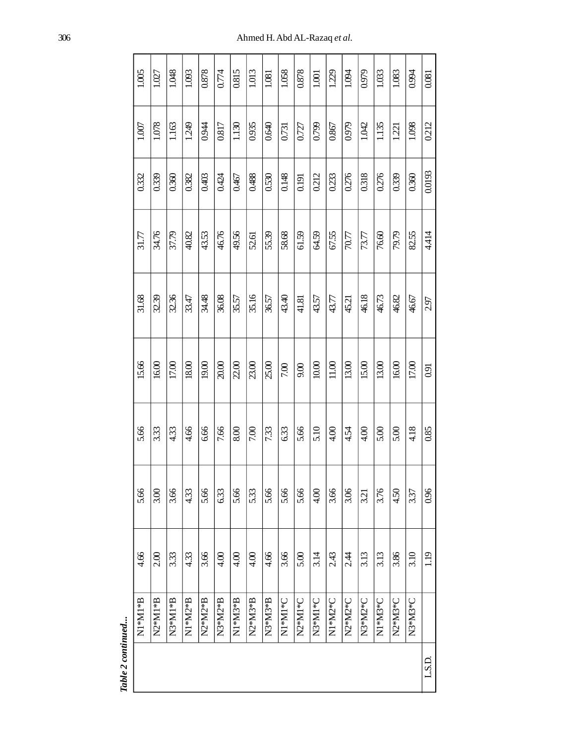| 1.005                               | 1.027     | 1.048     | 1.093   | 0.878   | 0.774   | 0.815   | 1.013   | 1.081   | 1.058   | 0.878   | 1.001   | 1.229   | 1.094   | 0.979   | 1.033   | 1.083   | 0.994   | 0.081  |
|-------------------------------------|-----------|-----------|---------|---------|---------|---------|---------|---------|---------|---------|---------|---------|---------|---------|---------|---------|---------|--------|
| 1.007                               | 1.078     | 1.163     | 1.249   | 0.944   | 0.817   | 1.130   | 0.935   | 0.640   | 0.731   | 0.727   | 0.799   | 0.867   | 0.979   | 1.042   | 1.135   | 1.221   | 1.098   | 0.212  |
| 0.332                               | 0.339     | 0.360     | 0.382   | 0.403   | 0.424   | 0.467   | 0.488   | 0.530   | 0.148   | 0.191   | 0.212   | 0.233   | 0.276   | 0.318   | 0.276   | 0.339   | 0.360   | 0.0193 |
| 31.77                               | 34.76     | 37.79     | 40.82   | 43.53   | 46.76   | 49.56   | 52.61   | 55.39   | 58.68   | 61.59   | 64.59   | 67.55   | 70.77   | 73.77   | 76.60   | 79.79   | 82.55   | 4414   |
| 31.68                               | 32.39     | 32.36     | 33.47   | 34.48   | 36.08   | 35.57   | 35.16   | 36.57   | 43.40   | 41.81   | 43.57   | 43.77   | 45.21   | 46.18   | 46.73   | 46.82   | 46.67   | 2.97   |
| 15.66                               | 16.00     | 17.00     | 18.00   | 19.00   | 20.00   | 2.00    | 23.00   | 25.00   | 7.00    | 9.00    | $10.00$ | $11.00$ | 13.00   | 15.00   | 13.00   | 16.00   | 17.00   | 0.91   |
| 5.66                                | 333       | 4.33      | 4.66    | 6.66    | 7.66    | 8.00    | 7.00    | 7.33    | 6.33    | 5.66    | 5.10    | 4.00    | 4.54    | 4.00    | 5.00    | 5.00    | 4.18    | 0.85   |
| 5.66                                | 3.00      | 3.66      | 4.33    | 5.66    | 6.33    | 5.66    | 5.33    | 5.66    | 5.66    | 5.66    | 4.00    | 3.66    | 3.06    | 3.21    | 3.76    | 4.50    | 3.37    | 696    |
| 4.66                                | 2.00      | 3.33      | 4.33    | 3.66    | 4.00    | 4.00    | 4.00    | 4.66    | 3.66    | 5.00    | 3.14    | 2.43    | 2.4     | 3.13    | 3.13    | 3.86    | 3.10    | 1.19   |
| $\mathbf{N}1*\mathbf{M}*\mathbf{B}$ | $N2*M1*B$ | $N3*M1*B$ | N1*M2*B | N2*M2*B | N3*M2*B | N1*M3*B | N2*M3*B | N3*M3*B | N1*M1*C | N2*M1*C | N3*M1*C | N1*M2*C | N2*M2*C | N3*M2*C | N1*M3*C | N2*M3*C | N3*M3*C |        |
|                                     |           |           |         |         |         |         |         |         |         |         |         |         |         |         |         |         |         | L.S.D. |

Table 2 continued... *Table 2 continued...*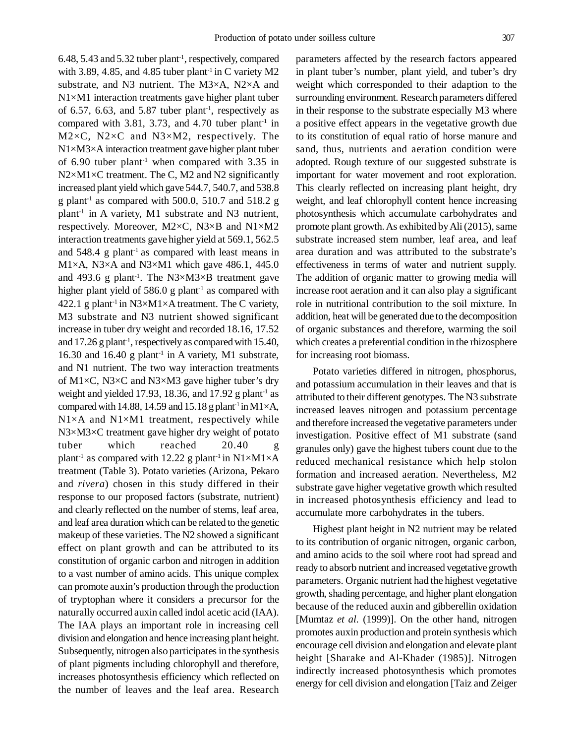6.48, 5.43 and 5.32 tuber plant-1, respectively, compared with 3.89, 4.85, and 4.85 tuber plant<sup>-1</sup> in C variety  $M2$ substrate, and N3 nutrient. The M3×A, N2×A and N1×M1 interaction treatments gave higher plant tuber of 6.57, 6.63, and 5.87 tuber plant<sup>-1</sup>, respectively as compared with 3.81, 3.73, and 4.70 tuber plant<sup>-1</sup> in M2×C, N2×C and N3×M2, respectively. The N1×M3×A interaction treatment gave higher plant tuber of  $6.90$  tuber plant<sup>-1</sup> when compared with  $3.35$  in  $N2\times M1\times C$  treatment. The C, M2 and N2 significantly increased plant yield which gave 544.7, 540.7, and 538.8 g plant<sup>-1</sup> as compared with 500.0, 510.7 and 518.2 g plant-1 in A variety, M1 substrate and N3 nutrient, respectively. Moreover, M2×C, N3×B and N1×M2 interaction treatments gave higher yield at 569.1, 562.5 and  $548.4$  g plant<sup>-1</sup> as compared with least means in M1×A, N3×A and N3×M1 which gave 486.1, 445.0 and 493.6 g plant<sup>-1</sup>. The N3×M3×B treatment gave higher plant yield of  $586.0$  g plant<sup>-1</sup> as compared with 422.1 g plant<sup>-1</sup> in N3×M1×A treatment. The C variety, M3 substrate and N3 nutrient showed significant increase in tuber dry weight and recorded 18.16, 17.52 and 17.26 g plant<sup>-1</sup>, respectively as compared with 15.40, 16.30 and 16.40 g plant<sup>-1</sup> in A variety, M1 substrate, and N1 nutrient. The two way interaction treatments of M1 $\times$ C, N3 $\times$ C and N3 $\times$ M3 gave higher tuber's dry weight and yielded 17.93, 18.36, and 17.92 g plant<sup>-1</sup> as compared with 14.88, 14.59 and 15.18 g plant<sup>-1</sup> in M1 $\times$ A,  $N1\times A$  and  $N1\times M1$  treatment, respectively while N3×M3×C treatment gave higher dry weight of potato tuber which reached 20.40 g plant<sup>-1</sup> as compared with 12.22 g plant<sup>-1</sup> in N1×M1×A treatment (Table 3). Potato varieties (Arizona, Pekaro and *rivera*) chosen in this study differed in their response to our proposed factors (substrate, nutrient) and clearly reflected on the number of stems, leaf area, and leaf area duration which can be related to the genetic makeup of these varieties. The N2 showed a significant effect on plant growth and can be attributed to its constitution of organic carbon and nitrogen in addition to a vast number of amino acids. This unique complex can promote auxin's production through the production of tryptophan where it considers a precursor for the naturally occurred auxin called indol acetic acid (IAA). The IAA plays an important role in increasing cell division and elongation and hence increasing plant height. Subsequently, nitrogen also participates in the synthesis of plant pigments including chlorophyll and therefore, increases photosynthesis efficiency which reflected on the number of leaves and the leaf area. Research

parameters affected by the research factors appeared in plant tuber's number, plant yield, and tuber's dry weight which corresponded to their adaption to the surrounding environment. Research parameters differed in their response to the substrate especially M3 where a positive effect appears in the vegetative growth due to its constitution of equal ratio of horse manure and sand, thus, nutrients and aeration condition were adopted. Rough texture of our suggested substrate is important for water movement and root exploration. This clearly reflected on increasing plant height, dry weight, and leaf chlorophyll content hence increasing photosynthesis which accumulate carbohydrates and promote plant growth. As exhibited by Ali (2015), same substrate increased stem number, leaf area, and leaf area duration and was attributed to the substrate's effectiveness in terms of water and nutrient supply. The addition of organic matter to growing media will increase root aeration and it can also play a significant role in nutritional contribution to the soil mixture. In addition, heat will be generated due to the decomposition of organic substances and therefore, warming the soil which creates a preferential condition in the rhizosphere for increasing root biomass.

Potato varieties differed in nitrogen, phosphorus, and potassium accumulation in their leaves and that is attributed to their different genotypes. The N3 substrate increased leaves nitrogen and potassium percentage and therefore increased the vegetative parameters under investigation. Positive effect of M1 substrate (sand granules only) gave the highest tubers count due to the reduced mechanical resistance which help stolon formation and increased aeration. Nevertheless, M2 substrate gave higher vegetative growth which resulted in increased photosynthesis efficiency and lead to accumulate more carbohydrates in the tubers.

Highest plant height in N2 nutrient may be related to its contribution of organic nitrogen, organic carbon, and amino acids to the soil where root had spread and ready to absorb nutrient and increased vegetative growth parameters. Organic nutrient had the highest vegetative growth, shading percentage, and higher plant elongation because of the reduced auxin and gibberellin oxidation [Mumtaz *et al.* (1999)]. On the other hand, nitrogen promotes auxin production and protein synthesis which encourage cell division and elongation and elevate plant height [Sharake and Al-Khader (1985)]. Nitrogen indirectly increased photosynthesis which promotes energy for cell division and elongation [Taiz and Zeiger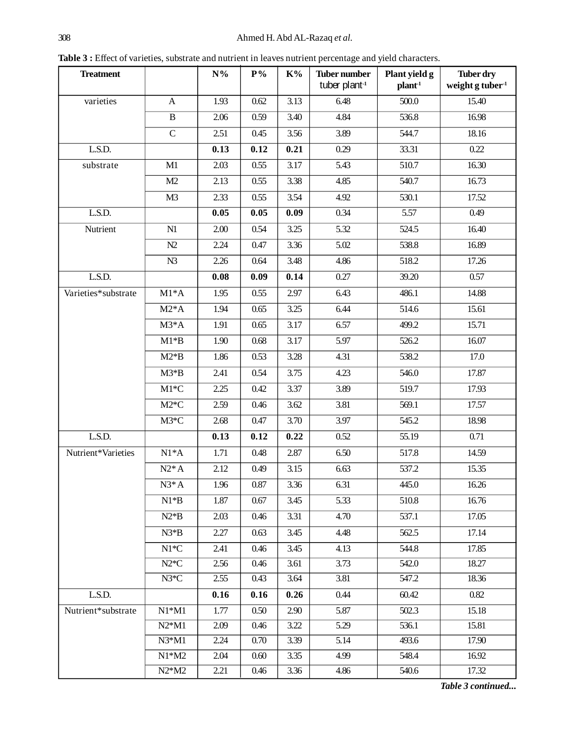Table 3 : Effect of varieties, substrate and nutrient in leaves nutrient percentage and yield characters.

| <b>Treatment</b>    |                | $\mathbf{N}\%$ | $P\%$ | $\mathbf{K}^{0}\!/\!_{\mathbf{0}}$ | <b>Tuber number</b><br>tuber plant-1 | Plant yield g<br>plan <sup>1</sup> | Tuber dry<br>weight g tuber $1$ |
|---------------------|----------------|----------------|-------|------------------------------------|--------------------------------------|------------------------------------|---------------------------------|
| varieties           | $\mathbf{A}$   | 1.93           | 0.62  | 3.13                               | 6.48                                 | 500.0                              | 15.40                           |
|                     | $\, {\bf B}$   | 2.06           | 0.59  | 3.40                               | 4.84                                 | 536.8                              | 16.98                           |
|                     | $\overline{C}$ | 2.51           | 0.45  | 3.56                               | 3.89                                 | 544.7                              | 18.16                           |
| L.S.D.              |                | 0.13           | 0.12  | 0.21                               | 0.29                                 | 33.31                              | 0.22                            |
| substrate           | M1             | 2.03           | 0.55  | 3.17                               | 5.43                                 | 510.7                              | 16.30                           |
|                     | M2             | 2.13           | 0.55  | 3.38                               | 4.85                                 | 540.7                              | 16.73                           |
|                     | M <sub>3</sub> | 2.33           | 0.55  | 3.54                               | 4.92                                 | 530.1                              | 17.52                           |
| L.S.D.              |                | 0.05           | 0.05  | 0.09                               | 0.34                                 | 5.57                               | 0.49                            |
| Nutrient            | N1             | 2.00           | 0.54  | 3.25                               | 5.32                                 | 524.5                              | 16.40                           |
|                     | N2             | 2.24           | 0.47  | 3.36                               | 5.02                                 | 538.8                              | 16.89                           |
|                     | N3             | 2.26           | 0.64  | 3.48                               | 4.86                                 | 518.2                              | 17.26                           |
| L.S.D.              |                | 0.08           | 0.09  | 0.14                               | 0.27                                 | 39.20                              | 0.57                            |
| Varieties*substrate | $M1*A$         | 1.95           | 0.55  | 2.97                               | 6.43                                 | 486.1                              | 14.88                           |
|                     | $M2*A$         | 1.94           | 0.65  | 3.25                               | 6.44                                 | 514.6                              | 15.61                           |
|                     | $M3*A$         | 1.91           | 0.65  | 3.17                               | 6.57                                 | 499.2                              | 15.71                           |
|                     | $M1*B$         | 1.90           | 0.68  | 3.17                               | 5.97                                 | 526.2                              | 16.07                           |
|                     | $M2*B$         | 1.86           | 0.53  | 3.28                               | 4.31                                 | 538.2                              | 17.0                            |
|                     | $M3*B$         | 2.41           | 0.54  | 3.75                               | 4.23                                 | 546.0                              | 17.87                           |
|                     | $M1*C$         | 2.25           | 0.42  | 3.37                               | 3.89                                 | 519.7                              | 17.93                           |
|                     | $M2*C$         | 2.59           | 0.46  | 3.62                               | 3.81                                 | 569.1                              | 17.57                           |
|                     | $M3*C$         | 2.68           | 0.47  | 3.70                               | 3.97                                 | 545.2                              | 18.98                           |
| L.S.D.              |                | 0.13           | 0.12  | 0.22                               | 0.52                                 | 55.19                              | 0.71                            |
| Nutrient*Varieties  | $N1*A$         | 1.71           | 0.48  | 2.87                               | 6.50                                 | 517.8                              | 14.59                           |
|                     | $N2*A$         | 2.12           | 0.49  | 3.15                               | 6.63                                 | 537.2                              | 15.35                           |
|                     | $N3*A$         | 1.96           | 0.87  | 3.36                               | 6.31                                 | 445.0                              | 16.26                           |
|                     | $N1*B$         | 1.87           | 0.67  | 3.45                               | 5.33                                 | 510.8                              | 16.76                           |
|                     | $N2*B$         | 2.03           | 0.46  | 3.31                               | 4.70                                 | 537.1                              | 17.05                           |
|                     | $N3*B$         | 2.27           | 0.63  | 3.45                               | 4.48                                 | 562.5                              | 17.14                           |
|                     | $\rm N1^*C$    | 2.41           | 0.46  | 3.45                               | 4.13                                 | 544.8                              | 17.85                           |
|                     | $N2*C$         | 2.56           | 0.46  | 3.61                               | 3.73                                 | 542.0                              | 18.27                           |
|                     | $N3*C$         | 2.55           | 0.43  | 3.64                               | 3.81                                 | 547.2                              | 18.36                           |
| L.S.D.              |                | 0.16           | 0.16  | 0.26                               | 0.44                                 | 60.42                              | 0.82                            |
| Nutrient*substrate  | $N1*M1$        | 1.77           | 0.50  | 2.90                               | 5.87                                 | 502.3                              | 15.18                           |
|                     | $N2*M1$        | 2.09           | 0.46  | 3.22                               | 5.29                                 | 536.1                              | 15.81                           |
|                     | $N3*M1$        | 2.24           | 0.70  | 3.39                               | 5.14                                 | 493.6                              | 17.90                           |
|                     | $N1*M2$        | 2.04           | 0.60  | 3.35                               | 4.99                                 | 548.4                              | 16.92                           |
|                     | $N2*M2$        | 2.21           | 0.46  | 3.36                               | 4.86                                 | 540.6                              | 17.32                           |

*Table 3 continued...*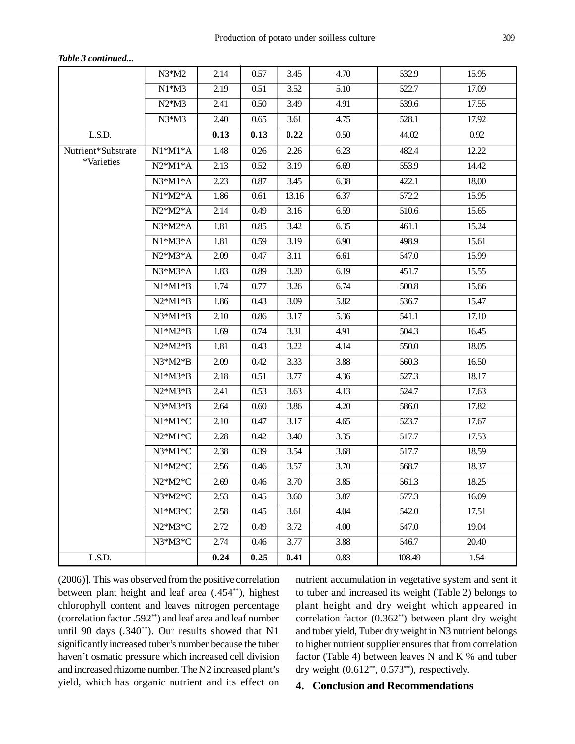|                    | $N3*M2$   | 2.14 | 0.57 | 3.45  | 4.70 | 532.9  | 15.95 |
|--------------------|-----------|------|------|-------|------|--------|-------|
|                    | $N1*M3$   | 2.19 | 0.51 | 3.52  | 5.10 | 522.7  | 17.09 |
|                    | $N2*M3$   | 2.41 | 0.50 | 3.49  | 4.91 | 539.6  | 17.55 |
|                    | $N3*M3$   | 2.40 | 0.65 | 3.61  | 4.75 | 528.1  | 17.92 |
| L.S.D.             |           | 0.13 | 0.13 | 0.22  | 0.50 | 44.02  | 0.92  |
| Nutrient*Substrate | $N1*M1*A$ | 1.48 | 0.26 | 2.26  | 6.23 | 482.4  | 12.22 |
| *Varieties         | $N2*M1*A$ | 2.13 | 0.52 | 3.19  | 6.69 | 553.9  | 14.42 |
|                    | $N3*M1*A$ | 2.23 | 0.87 | 3.45  | 6.38 | 422.1  | 18.00 |
|                    | $N1*M2*A$ | 1.86 | 0.61 | 13.16 | 6.37 | 572.2  | 15.95 |
|                    | $N2*M2*A$ | 2.14 | 0.49 | 3.16  | 6.59 | 510.6  | 15.65 |
|                    | $N3*M2*A$ | 1.81 | 0.85 | 3.42  | 6.35 | 461.1  | 15.24 |
|                    | $N1*M3*A$ | 1.81 | 0.59 | 3.19  | 6.90 | 498.9  | 15.61 |
|                    | $N2*M3*A$ | 2.09 | 0.47 | 3.11  | 6.61 | 547.0  | 15.99 |
|                    | $N3*M3*A$ | 1.83 | 0.89 | 3.20  | 6.19 | 451.7  | 15.55 |
|                    | $N1*M1*B$ | 1.74 | 0.77 | 3.26  | 6.74 | 500.8  | 15.66 |
|                    | $N2*M1*B$ | 1.86 | 0.43 | 3.09  | 5.82 | 536.7  | 15.47 |
|                    | $N3*M1*B$ | 2.10 | 0.86 | 3.17  | 5.36 | 541.1  | 17.10 |
|                    | $N1*M2*B$ | 1.69 | 0.74 | 3.31  | 4.91 | 504.3  | 16.45 |
|                    | $N2*M2*B$ | 1.81 | 0.43 | 3.22  | 4.14 | 550.0  | 18.05 |
|                    | $N3*M2*B$ | 2.09 | 0.42 | 3.33  | 3.88 | 560.3  | 16.50 |
|                    | $N1*M3*B$ | 2.18 | 0.51 | 3.77  | 4.36 | 527.3  | 18.17 |
|                    | $N2*M3*B$ | 2.41 | 0.53 | 3.63  | 4.13 | 524.7  | 17.63 |
|                    | $N3*M3*B$ | 2.64 | 0.60 | 3.86  | 4.20 | 586.0  | 17.82 |
|                    | $N1*M1*C$ | 2.10 | 0.47 | 3.17  | 4.65 | 523.7  | 17.67 |
|                    | $N2*M1*C$ | 2.28 | 0.42 | 3.40  | 3.35 | 517.7  | 17.53 |
|                    | N3*M1*C   | 2.38 | 0.39 | 3.54  | 3.68 | 517.7  | 18.59 |
|                    | $N1*M2*C$ | 2.56 | 0.46 | 3.57  | 3.70 | 568.7  | 18.37 |
|                    | $N2*M2*C$ | 2.69 | 0.46 | 3.70  | 3.85 | 561.3  | 18.25 |
|                    | N3*M2*C   | 2.53 | 0.45 | 3.60  | 3.87 | 577.3  | 16.09 |
|                    | N1*M3*C   | 2.58 | 0.45 | 3.61  | 4.04 | 542.0  | 17.51 |
|                    | N2*M3*C   | 2.72 | 0.49 | 3.72  | 4.00 | 547.0  | 19.04 |
|                    | N3*M3*C   | 2.74 | 0.46 | 3.77  | 3.88 | 546.7  | 20.40 |
| L.S.D.             |           | 0.24 | 0.25 | 0.41  | 0.83 | 108.49 | 1.54  |

*Table 3 continued...*

(2006)]. This was observed from the positive correlation between plant height and leaf area (.454\*\*), highest chlorophyll content and leaves nitrogen percentage (correlation factor .592\*\*) and leaf area and leaf number until 90 days (.340\*\*). Our results showed that N1 significantly increased tuber's number because the tuber haven't osmatic pressure which increased cell division and increased rhizome number. The N2 increased plant's yield, which has organic nutrient and its effect on

nutrient accumulation in vegetative system and sent it to tuber and increased its weight (Table 2) belongs to plant height and dry weight which appeared in correlation factor (0.362\*\*) between plant dry weight and tuber yield, Tuber dry weight in N3 nutrient belongs to higher nutrient supplier ensures that from correlation factor (Table 4) between leaves N and K % and tuber dry weight  $(0.612^{**}, 0.573^{**})$ , respectively.

## **4. Conclusion and Recommendations**